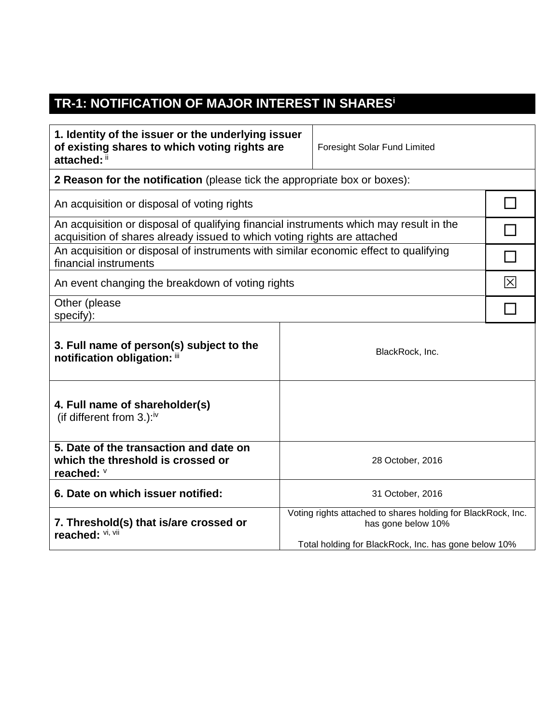## **TR-1: NOTIFICATION OF MAJOR INTEREST IN SHARES<sup>i</sup>**

| 1. Identity of the issuer or the underlying issuer<br>of existing shares to which voting rights are<br>attached: ii                                                |                                                                                                                                            | Foresight Solar Fund Limited |   |
|--------------------------------------------------------------------------------------------------------------------------------------------------------------------|--------------------------------------------------------------------------------------------------------------------------------------------|------------------------------|---|
| <b>2 Reason for the notification</b> (please tick the appropriate box or boxes):                                                                                   |                                                                                                                                            |                              |   |
| An acquisition or disposal of voting rights                                                                                                                        |                                                                                                                                            |                              |   |
| An acquisition or disposal of qualifying financial instruments which may result in the<br>acquisition of shares already issued to which voting rights are attached |                                                                                                                                            |                              |   |
| An acquisition or disposal of instruments with similar economic effect to qualifying<br>financial instruments                                                      |                                                                                                                                            |                              |   |
| An event changing the breakdown of voting rights                                                                                                                   |                                                                                                                                            |                              | 冈 |
| Other (please<br>specify):                                                                                                                                         |                                                                                                                                            |                              |   |
| 3. Full name of person(s) subject to the<br>notification obligation: iii                                                                                           |                                                                                                                                            | BlackRock, Inc.              |   |
| 4. Full name of shareholder(s)<br>(if different from $3.$ ): <sup>iv</sup>                                                                                         |                                                                                                                                            |                              |   |
| 5. Date of the transaction and date on<br>which the threshold is crossed or<br>reached: V                                                                          | 28 October, 2016                                                                                                                           |                              |   |
| 6. Date on which issuer notified:                                                                                                                                  | 31 October, 2016                                                                                                                           |                              |   |
| 7. Threshold(s) that is/are crossed or<br>reached: VI, VII                                                                                                         | Voting rights attached to shares holding for BlackRock, Inc.<br>has gone below 10%<br>Total holding for BlackRock, Inc. has gone below 10% |                              |   |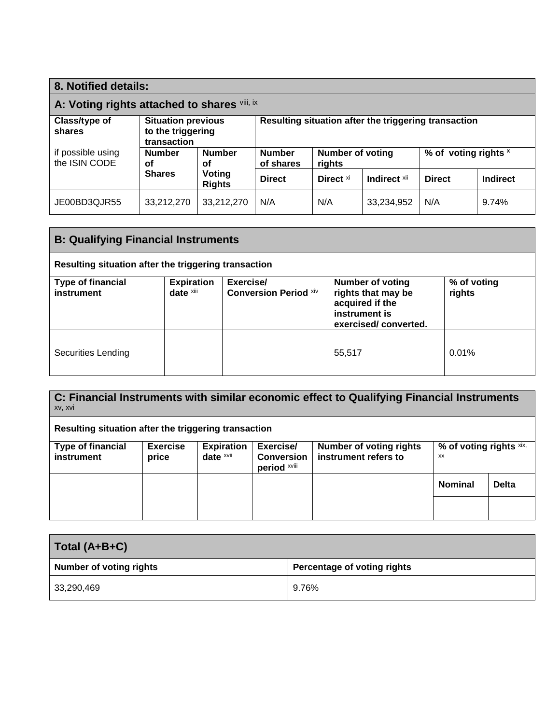| 8. Notified details:                         |                                                               |                         |                                                                                         |                      |              |               |                 |
|----------------------------------------------|---------------------------------------------------------------|-------------------------|-----------------------------------------------------------------------------------------|----------------------|--------------|---------------|-----------------|
| A: Voting rights attached to shares vili, ix |                                                               |                         |                                                                                         |                      |              |               |                 |
| Class/type of<br>shares                      | <b>Situation previous</b><br>to the triggering<br>transaction |                         | Resulting situation after the triggering transaction                                    |                      |              |               |                 |
| if possible using<br>the ISIN CODE           | <b>Number</b><br>Οf                                           | <b>Number</b><br>οf     | <b>Number</b><br>% of voting rights x<br><b>Number of voting</b><br>of shares<br>rights |                      |              |               |                 |
|                                              | <b>Shares</b>                                                 | Voting<br><b>Rights</b> | <b>Direct</b>                                                                           | Direct <sup>xi</sup> | Indirect xii | <b>Direct</b> | <b>Indirect</b> |
| JE00BD3QJR55                                 | 33,212,270                                                    | 33,212,270              | N/A                                                                                     | N/A                  | 33,234,952   | N/A           | 9.74%           |

| <b>B: Qualifying Financial Instruments</b>           |                                |                                           |                                                                                                           |                       |
|------------------------------------------------------|--------------------------------|-------------------------------------------|-----------------------------------------------------------------------------------------------------------|-----------------------|
| Resulting situation after the triggering transaction |                                |                                           |                                                                                                           |                       |
| <b>Type of financial</b><br>instrument               | <b>Expiration</b><br>date xiii | Exercise/<br><b>Conversion Period xiv</b> | <b>Number of voting</b><br>rights that may be<br>acquired if the<br>instrument is<br>exercised/converted. | % of voting<br>rights |
| Securities Lending                                   |                                |                                           | 55,517                                                                                                    | 0.01%                 |

**C: Financial Instruments with similar economic effect to Qualifying Financial Instruments** xv, xvi

| Resulting situation after the triggering transaction |                          |                                              |                                                |                                                        |                               |              |
|------------------------------------------------------|--------------------------|----------------------------------------------|------------------------------------------------|--------------------------------------------------------|-------------------------------|--------------|
| Type of financial<br>instrument                      | <b>Exercise</b><br>price | <b>Expiration</b><br>date $x$ <sup>vii</sup> | Exercise/<br><b>Conversion</b><br>period xviii | <b>Number of voting rights</b><br>instrument refers to | % of voting rights xix,<br>XX |              |
|                                                      |                          |                                              |                                                |                                                        | <b>Nominal</b>                | <b>Delta</b> |
|                                                      |                          |                                              |                                                |                                                        |                               |              |

| Total (A+B+C)                  |                             |  |  |
|--------------------------------|-----------------------------|--|--|
| <b>Number of voting rights</b> | Percentage of voting rights |  |  |
| 33,290,469                     | 9.76%                       |  |  |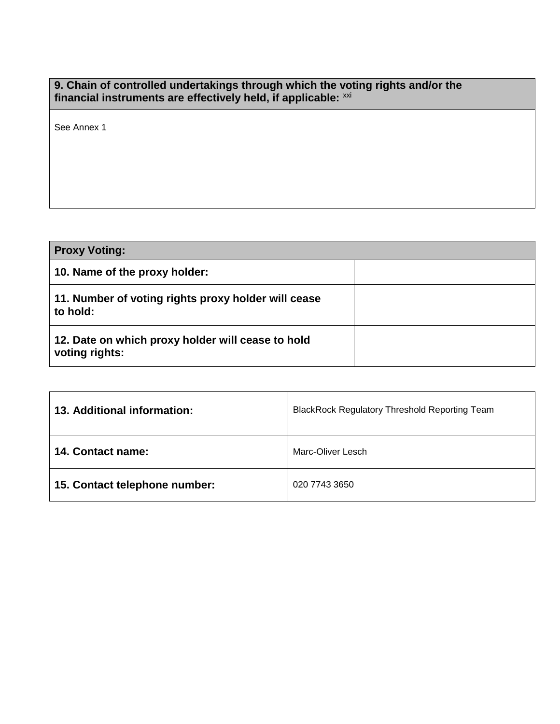## **9. Chain of controlled undertakings through which the voting rights and/or the financial instruments are effectively held, if applicable:** xxi

See Annex 1

| <b>Proxy Voting:</b>                                                |  |
|---------------------------------------------------------------------|--|
| 10. Name of the proxy holder:                                       |  |
| 11. Number of voting rights proxy holder will cease<br>to hold:     |  |
| 12. Date on which proxy holder will cease to hold<br>voting rights: |  |

| 13. Additional information:   | <b>BlackRock Regulatory Threshold Reporting Team</b> |
|-------------------------------|------------------------------------------------------|
| 14. Contact name:             | Marc-Oliver Lesch                                    |
| 15. Contact telephone number: | 020 7743 3650                                        |